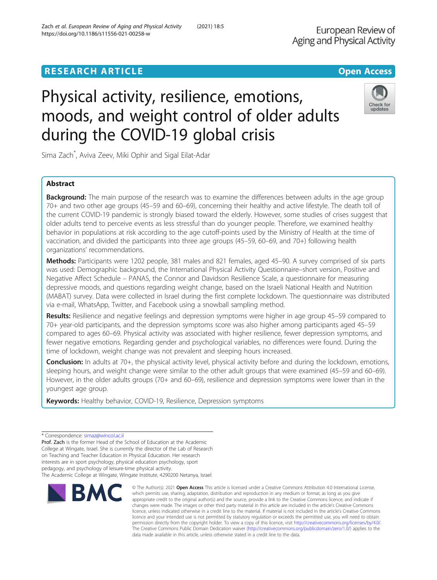# **RESEARCH ARTICLE Example 2018 12:30 THE OPEN ACCESS**

# Physical activity, resilience, emotions, moods, and weight control of older adults during the COVID-19 global crisis

Sima Zach\* , Aviva Zeev, Miki Ophir and Sigal Eilat-Adar

# Abstract

**Background:** The main purpose of the research was to examine the differences between adults in the age group 70+ and two other age groups (45–59 and 60–69), concerning their healthy and active lifestyle. The death toll of the current COVID-19 pandemic is strongly biased toward the elderly. However, some studies of crises suggest that older adults tend to perceive events as less stressful than do younger people. Therefore, we examined healthy behavior in populations at risk according to the age cutoff-points used by the Ministry of Health at the time of vaccination, and divided the participants into three age groups (45–59, 60–69, and 70+) following health organizations' recommendations.

Methods: Participants were 1202 people, 381 males and 821 females, aged 45–90. A survey comprised of six parts was used: Demographic background, the International Physical Activity Questionnaire–short version, Positive and Negative Affect Schedule – PANAS, the Connor and Davidson Resilience Scale, a questionnaire for measuring depressive moods, and questions regarding weight change, based on the Israeli National Health and Nutrition (MABAT) survey. Data were collected in Israel during the first complete lockdown. The questionnaire was distributed via e-mail, WhatsApp, Twitter, and Facebook using a snowball sampling method.

Results: Resilience and negative feelings and depression symptoms were higher in age group 45–59 compared to 70+ year-old participants, and the depression symptoms score was also higher among participants aged 45–59 compared to ages 60–69. Physical activity was associated with higher resilience, fewer depression symptoms, and fewer negative emotions. Regarding gender and psychological variables, no differences were found. During the time of lockdown, weight change was not prevalent and sleeping hours increased.

Conclusion: In adults at 70+, the physical activity level, physical activity before and during the lockdown, emotions, sleeping hours, and weight change were similar to the other adult groups that were examined (45–59 and 60–69). However, in the older adults groups (70+ and 60–69), resilience and depression symptoms were lower than in the youngest age group.

data made available in this article, unless otherwise stated in a credit line to the data.

© The Author(s), 2021 **Open Access** This article is licensed under a Creative Commons Attribution 4.0 International License, which permits use, sharing, adaptation, distribution and reproduction in any medium or format, as long as you give

Keywords: Healthy behavior, COVID-19, Resilience, Depression symptoms

**RM** 

Prof. Zach is the former Head of the School of Education at the Academic College at Wingate, Israel. She is currently the director of the Lab of Research on Teaching and Teacher Education in Physical Education. Her research interests are in sport psychology, physical education psychology, sport pedagogy, and psychology of leisure-time physical activity. The Academic College at Wingate, Wingate Institute, 4290200 Netanya, Israel







<sup>\*</sup> Correspondence: [simaz@wincol.ac.il](mailto:simaz@wincol.ac.il)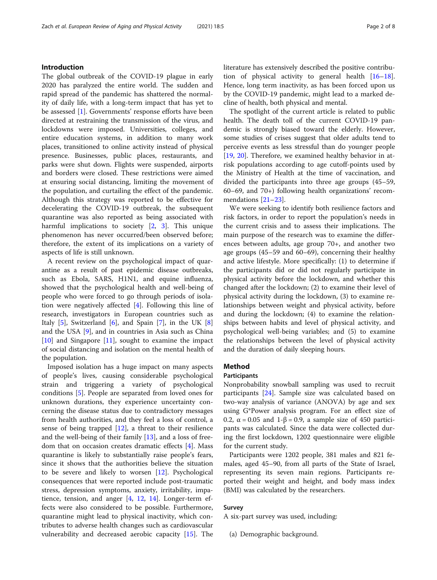## Introduction

The global outbreak of the COVID-19 plague in early 2020 has paralyzed the entire world. The sudden and rapid spread of the pandemic has shattered the normality of daily life, with a long-term impact that has yet to be assessed [[1\]](#page-6-0). Governments' response efforts have been directed at restraining the transmission of the virus, and lockdowns were imposed. Universities, colleges, and entire education systems, in addition to many work places, transitioned to online activity instead of physical presence. Businesses, public places, restaurants, and parks were shut down. Flights were suspended, airports and borders were closed. These restrictions were aimed at ensuring social distancing, limiting the movement of the population, and curtailing the effect of the pandemic. Although this strategy was reported to be effective for decelerating the COVID-19 outbreak, the subsequent quarantine was also reported as being associated with harmful implications to society [[2,](#page-6-0) [3\]](#page-6-0). This unique phenomenon has never occurred/been observed before; therefore, the extent of its implications on a variety of aspects of life is still unknown.

A recent review on the psychological impact of quarantine as a result of past epidemic disease outbreaks, such as Ebola, SARS, H1N1, and equine influenza, showed that the psychological health and well-being of people who were forced to go through periods of isolation were negatively affected [\[4](#page-6-0)]. Following this line of research, investigators in European countries such as Italy  $[5]$  $[5]$ , Switzerland  $[6]$ , and Spain  $[7]$  $[7]$  $[7]$ , in the UK  $[8]$  $[8]$ and the USA [[9](#page-6-0)], and in countries in Asia such as China [[10\]](#page-6-0) and Singapore [[11\]](#page-6-0), sought to examine the impact of social distancing and isolation on the mental health of the population.

Imposed isolation has a huge impact on many aspects of people's lives, causing considerable psychological strain and triggering a variety of psychological conditions [[5\]](#page-6-0). People are separated from loved ones for unknown durations, they experience uncertainty concerning the disease status due to contradictory messages from health authorities, and they feel a loss of control, a sense of being trapped  $[12]$ , a threat to their resilience and the well-being of their family [\[13](#page-6-0)], and a loss of freedom that on occasion creates dramatic effects  $[4]$  $[4]$ . Mass quarantine is likely to substantially raise people's fears, since it shows that the authorities believe the situation to be severe and likely to worsen [\[12\]](#page-6-0). Psychological consequences that were reported include post-traumatic stress, depression symptoms, anxiety, irritability, impatience, tension, and anger [[4,](#page-6-0) [12](#page-6-0), [14](#page-6-0)]. Longer-term effects were also considered to be possible. Furthermore, quarantine might lead to physical inactivity, which contributes to adverse health changes such as cardiovascular vulnerability and decreased aerobic capacity [[15\]](#page-6-0). The literature has extensively described the positive contribution of physical activity to general health [[16](#page-6-0)–[18](#page-6-0)]. Hence, long term inactivity, as has been forced upon us by the COVID-19 pandemic, might lead to a marked decline of health, both physical and mental.

The spotlight of the current article is related to public health. The death toll of the current COVID-19 pandemic is strongly biased toward the elderly. However, some studies of crises suggest that older adults tend to perceive events as less stressful than do younger people [[19,](#page-6-0) [20](#page-6-0)]. Therefore, we examined healthy behavior in atrisk populations according to age cutoff-points used by the Ministry of Health at the time of vaccination, and divided the participants into three age groups (45–59, 60–69, and 70+) following health organizations' recommendations [\[21](#page-6-0)–[23](#page-6-0)].

We were seeking to identify both resilience factors and risk factors, in order to report the population's needs in the current crisis and to assess their implications. The main purpose of the research was to examine the differences between adults, age group 70+, and another two age groups (45–59 and 60–69), concerning their healthy and active lifestyle. More specifically: (1) to determine if the participants did or did not regularly participate in physical activity before the lockdown, and whether this changed after the lockdown; (2) to examine their level of physical activity during the lockdown, (3) to examine relationships between weight and physical activity, before and during the lockdown; (4) to examine the relationships between habits and level of physical activity, and psychological well-being variables; and (5) to examine the relationships between the level of physical activity and the duration of daily sleeping hours.

### Method

## Participants

Nonprobability snowball sampling was used to recruit participants [[24](#page-6-0)]. Sample size was calculated based on two-way analysis of variance (ANOVA) by age and sex using G\*Power analysis program. For an effect size of 0.2,  $\alpha$  = 0.05 and 1-β = 0.9, a sample size of 450 participants was calculated. Since the data were collected during the first lockdown, 1202 questionnaire were eligible for the current study.

Participants were 1202 people, 381 males and 821 females, aged 45–90, from all parts of the State of Israel, representing its seven main regions. Participants reported their weight and height, and body mass index (BMI) was calculated by the researchers.

## Survey

A six-part survey was used, including:

(a) Demographic background.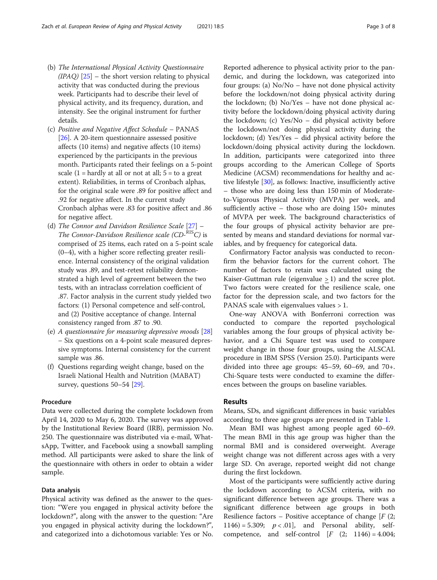- (b) The International Physical Activity Questionnaire  $(IPAQ)$  [\[25\]](#page-6-0) – the short version relating to physical activity that was conducted during the previous week. Participants had to describe their level of physical activity, and its frequency, duration, and intensity. See the original instrument for further details.
- (c) Positive and Negative Affect Schedule PANAS [\[26](#page-6-0)]. A 20-item questionnaire assessed positive affects (10 items) and negative affects (10 items) experienced by the participants in the previous month. Participants rated their feelings on a 5-point scale  $(1 = \text{hardly at all or not at all}; 5 = \text{to a great})$ extent). Reliabilities, in terms of Cronbach alphas, for the original scale were .89 for positive affect and .92 for negative affect. In the current study Cronbach alphas were .83 for positive affect and .86 for negative affect.
- (d) The Connor and Davidson Resilience Scale [[27](#page-6-0)] The Connor-Davidson Resilience scale  $(CD-<sup>RIS</sup>C)$  is comprised of 25 items, each rated on a 5-point scale (0–4), with a higher score reflecting greater resilience. Internal consistency of the original validation study was .89, and test-retest reliability demonstrated a high level of agreement between the two tests, with an intraclass correlation coefficient of .87. Factor analysis in the current study yielded two factors: (1) Personal competence and self-control, and (2) Positive acceptance of change. Internal consistency ranged from .87 to .90.
- (e) A questionnaire for measuring depressive moods [\[28\]](#page-6-0) – Six questions on a 4-point scale measured depressive symptoms. Internal consistency for the current sample was .86.
- (f) Questions regarding weight change, based on the Israeli National Health and Nutrition (MABAT) survey, questions 50–54 [\[29\]](#page-6-0).

## Procedure

Data were collected during the complete lockdown from April 14, 2020 to May 6, 2020. The survey was approved by the Institutional Review Board (IRB), permission No. 250. The questionnaire was distributed via e-mail, WhatsApp, Twitter, and Facebook using a snowball sampling method. All participants were asked to share the link of the questionnaire with others in order to obtain a wider sample.

## Data analysis

Physical activity was defined as the answer to the question: "Were you engaged in physical activity before the lockdown?", along with the answer to the question: "Are you engaged in physical activity during the lockdown?", and categorized into a dichotomous variable: Yes or No.

Reported adherence to physical activity prior to the pandemic, and during the lockdown, was categorized into four groups: (a) No/No – have not done physical activity before the lockdown/not doing physical activity during the lockdown; (b) No/Yes – have not done physical activity before the lockdown/doing physical activity during the lockdown; (c) Yes/No – did physical activity before the lockdown/not doing physical activity during the lockdown; (d) Yes/Yes – did physical activity before the lockdown/doing physical activity during the lockdown. In addition, participants were categorized into three groups according to the American College of Sports Medicine (ACSM) recommendations for healthy and active lifestyle [\[30](#page-7-0)], as follows: Inactive, insufficiently active – those who are doing less than 150 min of Moderateto-Vigorous Physical Activity (MVPA) per week, and sufficiently active – those who are doing 150+ minutes of MVPA per week. The background characteristics of the four groups of physical activity behavior are presented by means and standard deviations for normal variables, and by frequency for categorical data.

Confirmatory Factor analysis was conducted to reconfirm the behavior factors for the current cohort. The number of factors to retain was calculated using the Kaiser-Guttman rule (eigenvalue > 1) and the scree plot. Two factors were created for the resilience scale, one factor for the depression scale, and two factors for the PANAS scale with eigenvalues values  $>1$ .

One-way ANOVA with Bonferroni correction was conducted to compare the reported psychological variables among the four groups of physical activity behavior, and a Chi Square test was used to compare weight change in those four groups, using the ALSCAL procedure in IBM SPSS (Version 25.0). Participants were divided into three age groups: 45–59, 60–69, and 70+. Chi-Square tests were conducted to examine the differences between the groups on baseline variables.

## Results

Means, SDs, and significant differences in basic variables according to three age groups are presented in Table [1.](#page-3-0)

Mean BMI was highest among people aged 60–69. The mean BMI in this age group was higher than the normal BMI and is considered overweight. Average weight change was not different across ages with a very large SD. On average, reported weight did not change during the first lockdown.

Most of the participants were sufficiently active during the lockdown according to ACSM criteria, with no significant difference between age groups. There was a significant difference between age groups in both Resilience factors – Positive acceptance of change  $[F (2,$ 1146) = 5.309;  $p < .01$ , and Personal ability, selfcompetence, and self-control  $[F (2; 1146) = 4.004;$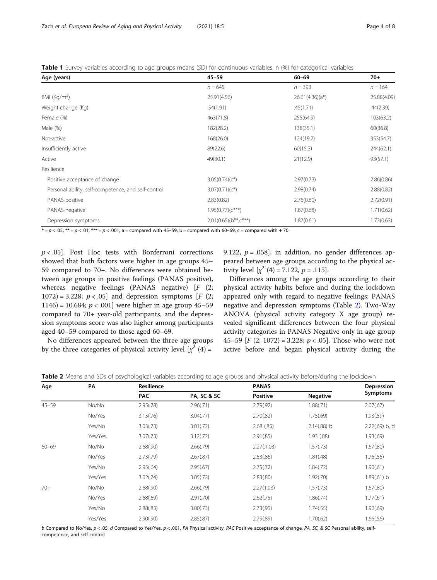<span id="page-3-0"></span>

|  |  |  |  | Table 1 Survey variables according to age groups means (SD) for continuous variables, n (%) for categorical variables |  |  |
|--|--|--|--|-----------------------------------------------------------------------------------------------------------------------|--|--|
|  |  |  |  |                                                                                                                       |  |  |

| Age (years)                                         | $45 - 59$               | $60 - 69$          | $70+$       |
|-----------------------------------------------------|-------------------------|--------------------|-------------|
|                                                     | $n = 645$               | $n = 393$          | $n = 164$   |
| BMI ( $\text{Kg/m}^2$ )                             | 25.91(4.56)             | $26.61(4.36)(a^*)$ | 25.88(4.09) |
| Weight change (Kg)                                  | .54(1.91)               | .45(1.71)          | .44(2.39)   |
| Female (%)                                          | 463(71.8)               | 255(64.9)          | 103(63.2)   |
| Male (%)                                            | 182(28.2)               | 138(35.1)          | 60(36.8)    |
| Not-active                                          | 168(26.0)               | 124(19.2)          | 353(54.7)   |
| Insufficiently active                               | 89(22.6)                | 60(15.3)           | 244(62.1)   |
| Active                                              | 49(30.1)                | 21(12.9)           | 93(57.1)    |
| Resilience                                          |                         |                    |             |
| Positive acceptance of change                       | $3.05(0.74)(c^*)$       | 2.97(0.73)         | 2.86(0.86)  |
| Personal ability, self-competence, and self-control | $3.07(0.71)(c^*)$       | 2.98(0.74)         | 2.88(0.82)  |
| PANAS-positive                                      | 2.83(0.82)              | 2.76(0.80)         | 2.72(0.91)  |
| PANAS-negative                                      | $1.95(0.77)(c***)$      | 1.87(0.68)         | 1.71(0.62)  |
| Depression symptoms                                 | $2.01(0.65)(b**, c***)$ | 1.87(0.61)         | 1.73(0.63)  |

 $* = p < .05$ ;  $** = p < .01$ ;  $*** = p < .001$ ; a = compared with 45–59; b = compared with 60–69; c = compared with + 70

 $p < .05$ ]. Post Hoc tests with Bonferroni corrections showed that both factors were higher in age groups 45– 59 compared to 70+. No differences were obtained between age groups in positive feelings (PANAS positive), whereas negative feelings (PANAS negative)  $[F (2;$ 1072) = 3.228;  $p < .05$  and depression symptoms [F (2; 1146) = 10.684;  $p < .001$ ] were higher in age group 45–59 compared to 70+ year-old participants, and the depression symptoms score was also higher among participants aged 40–59 compared to those aged 60–69.

9.122,  $p = .058$ ]; in addition, no gender differences appeared between age groups according to the physical activity level  $\left[\chi^2(4) = 7.122, p = .115\right]$ .

Differences among the age groups according to their physical activity habits before and during the lockdown appeared only with regard to negative feelings: PANAS negative and depression symptoms (Table 2). Two-Way ANOVA (physical activity category X age group) revealed significant differences between the four physical activity categories in PANAS Negative only in age group 45–59  $[F (2; 1072) = 3.228; p < .05]$ . Those who were not active before and began physical activity during the

No differences appeared between the three age groups by the three categories of physical activity level  $[\chi^2(4) =$ 

Table 2 Means and SDs of psychological variables according to age groups and physical activity before/during the lockdown

| Age       | PA      | <b>Resilience</b> |             | <b>PANAS</b>    | Depression      |                |
|-----------|---------|-------------------|-------------|-----------------|-----------------|----------------|
|           |         | <b>PAC</b>        | PA, SC & SC | <b>Positive</b> | <b>Negative</b> | Symptoms       |
| $45 - 59$ | No/No   | 2.95(.78)         | 2.96(.71)   | 2.79(.92)       | 1.88(.71)       | 2.07(.67)      |
|           | No/Yes  | 3.15(.76)         | 3.04(.77)   | 2.70(.82)       | 1.75(.69)       | 1.93(.59)      |
|           | Yes/No  | 3.03(.73)         | 3.01(.72)   | 2.68(.85)       | 2.14(.88) b     | 2.22(.69) b, d |
|           | Yes/Yes | 3.07(.73)         | 3.12(.72)   | 2.91(.85)       | 1.93 (.88)      | 1.93(.69)      |
| $60 - 69$ | No/No   | 2.68(.90)         | 2.66(.79)   | 2.27(.1.03)     | 1.57(.73)       | 1.67(.80)      |
|           | No/Yes  | 2.73(.79)         | 2.67(.87)   | 2.53(.86)       | 1.81(.48)       | 1.76(.55)      |
|           | Yes/No  | 2.95(.64)         | 2.95(.67)   | 2.75(.72)       | 1.84(.72)       | 1.90(.61)      |
|           | Yes/Yes | 3.02(.74)         | 3.05(.72)   | 2.83(.80)       | 1.92(.70)       | 1.89(.61) b    |
| $70+$     | No/No   | 2.68(.90)         | 2.66(.79)   | 2.27(1.03)      | 1.57(.73)       | 1.67(.80)      |
|           | No/Yes  | 2.68(.69)         | 2.91(.70)   | 2.62(.75)       | 1.86(.74)       | 1.77(.61)      |
|           | Yes/No  | 2.88(.83)         | 3.00(.73)   | 2.73(.95)       | 1.74(.55)       | 1.92(.69)      |
|           | Yes/Yes | 2.90(.90)         | 2.85(.87)   | 2.79(.89)       | 1.70(.62)       | 1.66(.56)      |

b Compared to No/Yes,  $p < .05$ , d Compared to Yes/Yes,  $p < .001$ , PA Physical activity, PAC Positive acceptance of change, PA, SC, & SC Personal ability, selfcompetence, and self-control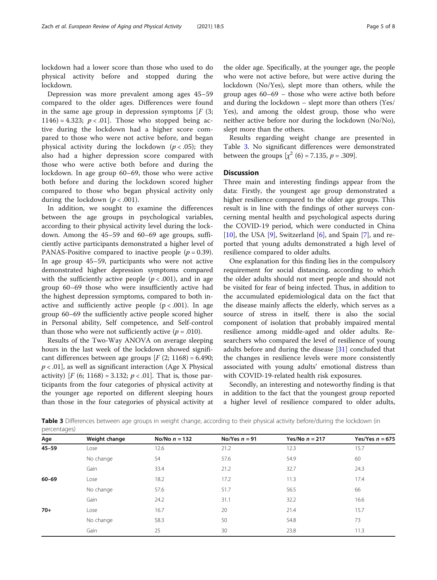lockdown had a lower score than those who used to do physical activity before and stopped during the lockdown.

Depression was more prevalent among ages 45–59 compared to the older ages. Differences were found in the same age group in depression symptoms  $[F(3;$ 1146) = 4.323;  $p < .01$ . Those who stopped being active during the lockdown had a higher score compared to those who were not active before, and began physical activity during the lockdown ( $p < .05$ ); they also had a higher depression score compared with those who were active both before and during the lockdown. In age group 60–69, those who were active both before and during the lockdown scored higher compared to those who began physical activity only during the lockdown ( $p < .001$ ).

In addition, we sought to examine the differences between the age groups in psychological variables, according to their physical activity level during the lockdown. Among the 45–59 and 60–69 age groups, sufficiently active participants demonstrated a higher level of PANAS-Positive compared to inactive people ( $p = 0.39$ ). In age group 45–59, participants who were not active demonstrated higher depression symptoms compared with the sufficiently active people ( $p < .001$ ), and in age group 60–69 those who were insufficiently active had the highest depression symptoms, compared to both inactive and sufficiently active people  $(p < .001)$ . In age group 60–69 the sufficiently active people scored higher in Personal ability, Self competence, and Self-control than those who were not sufficiently active  $(p = .010)$ .

Results of the Two-Way ANOVA on average sleeping hours in the last week of the lockdown showed significant differences between age groups  $[F (2; 1168) = 6.490;$  $p < .01$ , as well as significant interaction (Age X Physical activity) [ $F(6; 1168) = 3.132; p < .01$ ]. That is, those participants from the four categories of physical activity at the younger age reported on different sleeping hours than those in the four categories of physical activity at the older age. Specifically, at the younger age, the people who were not active before, but were active during the lockdown (No/Yes), slept more than others, while the group ages 60–69 – those who were active both before and during the lockdown – slept more than others (Yes/ Yes), and among the oldest group, those who were neither active before nor during the lockdown (No/No), slept more than the others.

Results regarding weight change are presented in Table 3. No significant differences were demonstrated between the groups  $[\chi^2(6) = 7.135, p = .309]$ .

## **Discussion**

Three main and interesting findings appear from the data: Firstly, the youngest age group demonstrated a higher resilience compared to the older age groups. This result is in line with the findings of other surveys concerning mental health and psychological aspects during the COVID-19 period, which were conducted in China  $[10]$  $[10]$ , the USA  $[9]$  $[9]$ , Switzerland  $[6]$  $[6]$ , and Spain  $[7]$  $[7]$ , and reported that young adults demonstrated a high level of resilience compared to older adults.

One explanation for this finding lies in the compulsory requirement for social distancing, according to which the older adults should not meet people and should not be visited for fear of being infected. Thus, in addition to the accumulated epidemiological data on the fact that the disease mainly affects the elderly, which serves as a source of stress in itself, there is also the social component of isolation that probably impaired mental resilience among middle-aged and older adults. Researchers who compared the level of resilience of young adults before and during the disease [[31\]](#page-7-0) concluded that the changes in resilience levels were more consistently associated with young adults' emotional distress than with COVID-19-related health risk exposures.

Secondly, an interesting and noteworthy finding is that in addition to the fact that the youngest group reported a higher level of resilience compared to older adults,

Table 3 Differences between age groups in weight change, according to their physical activity before/during the lockdown (in percentages)

| Age       | Weight change | No/No $n = 132$ | No/Yes $n = 91$ | Yes/No $n = 217$ | Yes/Yes $n = 675$ |
|-----------|---------------|-----------------|-----------------|------------------|-------------------|
| $45 - 59$ | Lose          | 12.6            | 21.2            | 12.3             | 15.7              |
|           | No change     | 54              | 57.6            | 54.9             | 60                |
|           | Gain          | 33.4            | 21.2            | 32.7             | 24.3              |
| $60 - 69$ | Lose          | 18.2            | 17.2            | 11.3             | 17.4              |
|           | No change     | 57.6            | 51.7            | 56.5             | 66                |
|           | Gain          | 24.2            | 31.1            | 32.2             | 16.6              |
| $70+$     | Lose          | 16.7            | 20              | 21.4             | 15.7              |
|           | No change     | 58.3            | 50              | 54.8             | 73                |
|           | Gain          | 25              | 30              | 23.8             | 11.3              |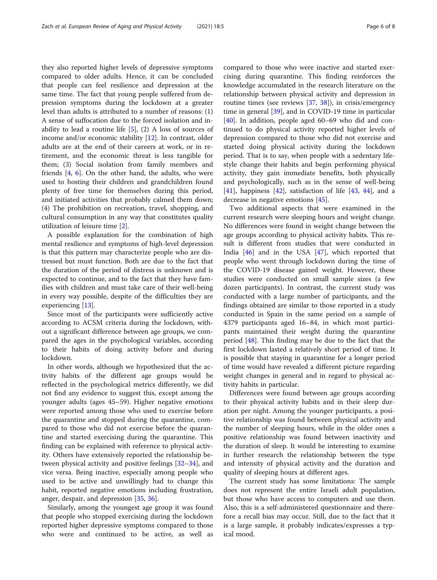they also reported higher levels of depressive symptoms compared to older adults. Hence, it can be concluded that people can feel resilience and depression at the same time. The fact that young people suffered from depression symptoms during the lockdown at a greater level than adults is attributed to a number of reasons: (1) A sense of suffocation due to the forced isolation and inability to lead a routine life  $[5]$  $[5]$ ,  $(2)$  A loss of sources of income and/or economic stability [\[12\]](#page-6-0). In contrast, older adults are at the end of their careers at work, or in retirement, and the economic threat is less tangible for them; (3) Social isolation from family members and friends [[4,](#page-6-0) [6\]](#page-6-0). On the other hand, the adults, who were used to hosting their children and grandchildren found plenty of free time for themselves during this period, and initiated activities that probably calmed them down; (4) The prohibition on recreation, travel, shopping, and cultural consumption in any way that constitutes quality utilization of leisure time [[2\]](#page-6-0).

A possible explanation for the combination of high mental resilience and symptoms of high-level depression is that this pattern may characterize people who are distressed but must function. Both are due to the fact that the duration of the period of distress is unknown and is expected to continue, and to the fact that they have families with children and must take care of their well-being in every way possible, despite of the difficulties they are experiencing [[13\]](#page-6-0).

Since most of the participants were sufficiently active according to ACSM criteria during the lockdown, without a significant difference between age groups, we compared the ages in the psychological variables, according to their habits of doing activity before and during lockdown.

In other words, although we hypothesized that the activity habits of the different age groups would be reflected in the psychological metrics differently, we did not find any evidence to suggest this, except among the younger adults (ages 45–59). Higher negative emotions were reported among those who used to exercise before the quarantine and stopped during the quarantine, compared to those who did not exercise before the quarantine and started exercising during the quarantine. This finding can be explained with reference to physical activity. Others have extensively reported the relationship between physical activity and positive feelings [[32](#page-7-0)–[34](#page-7-0)], and vice versa. Being inactive, especially among people who used to be active and unwillingly had to change this habit, reported negative emotions including frustration, anger, despair, and depression [\[35](#page-7-0), [36](#page-7-0)].

Similarly, among the youngest age group it was found that people who stopped exercising during the lockdown reported higher depressive symptoms compared to those who were and continued to be active, as well as compared to those who were inactive and started exercising during quarantine. This finding reinforces the knowledge accumulated in the research literature on the relationship between physical activity and depression in routine times (see reviews [[37](#page-7-0), [38](#page-7-0)]), in crisis/emergency time in general [\[39](#page-7-0)], and in COVID-19 time in particular [[40\]](#page-7-0). In addition, people aged 60–69 who did and continued to do physical activity reported higher levels of depression compared to those who did not exercise and started doing physical activity during the lockdown period. That is to say, when people with a sedentary lifestyle change their habits and begin performing physical activity, they gain immediate benefits, both physically and psychologically, such as in the sense of well-being  $[41]$  $[41]$ , happiness  $[42]$  $[42]$  $[42]$ , satisfaction of life  $[43, 44]$  $[43, 44]$  $[43, 44]$ , and a decrease in negative emotions [[45](#page-7-0)].

Two additional aspects that were examined in the current research were sleeping hours and weight change. No differences were found in weight change between the age groups according to physical activity habits. This result is different from studies that were conducted in India [\[46\]](#page-7-0) and in the USA [\[47\]](#page-7-0), which reported that people who went through lockdown during the time of the COVID-19 disease gained weight. However, these studies were conducted on small sample sizes (a few dozen participants). In contrast, the current study was conducted with a large number of participants, and the findings obtained are similar to those reported in a study conducted in Spain in the same period on a sample of 4379 participants aged 16–84, in which most participants maintained their weight during the quarantine period [\[48](#page-7-0)]. This finding may be due to the fact that the first lockdown lasted a relatively short period of time. It is possible that staying in quarantine for a longer period of time would have revealed a different picture regarding weight changes in general and in regard to physical activity habits in particular.

Differences were found between age groups according to their physical activity habits and in their sleep duration per night. Among the younger participants, a positive relationship was found between physical activity and the number of sleeping hours, while in the older ones a positive relationship was found between inactivity and the duration of sleep. It would be interesting to examine in further research the relationship between the type and intensity of physical activity and the duration and quality of sleeping hours at different ages.

The current study has some limitations: The sample does not represent the entire Israeli adult population, but those who have access to computers and use them. Also, this is a self-administered questionnaire and therefore a recall bias may occur. Still, due to the fact that it is a large sample, it probably indicates/expresses a typical mood.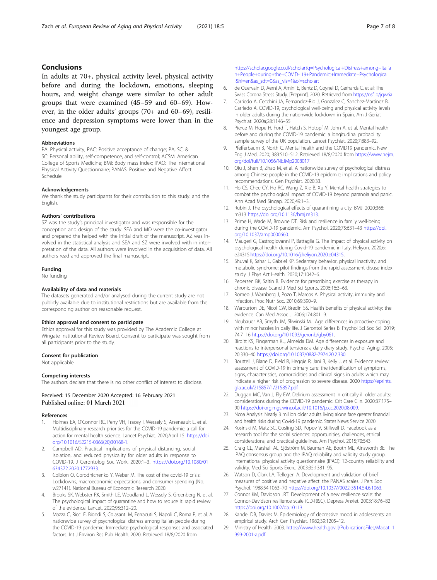## <span id="page-6-0"></span>Conclusions

In adults at 70+, physical activity level, physical activity before and during the lockdown, emotions, sleeping hours, and weight change were similar to other adult groups that were examined (45–59 and 60–69). However, in the older adults' groups (70+ and 60–69), resilience and depression symptoms were lower than in the youngest age group.

## Abbreviations

PA: Physical activity; PAC: Positive acceptance of change; PA, SC, & SC: Personal ability, self-competence, and self-control; ACSM: American College of Sports Medicine; BMI: Body mass index; IPAQ: The International Physical Activity Questionnaire; PANAS: Positive and Negative Affect Schedule

#### Acknowledgements

We thank the study participants for their contribution to this study. and the English.

#### Authors' contributions

SZ was the study's principal investigator and was responsible for the conception and design of the study. SEA and MO were the co-investigator and prepared the helped with the initial draft of the manuscript. AZ was involved in the statistical analysis and SEA and SZ were involved with in interpretation of the data. All authors were involved in the acquisition of data. All authors read and approved the final manuscript.

#### Funding

No funding

#### Availability of data and materials

The datasets generated and/or analysed during the current study are not publicly available due to institutional restrictions but are available from the corresponding author on reasonable request.

#### Ethics approval and consent to participate

Ethics approval for this study was provided by The Academic College at Wingate Institutional Review Board. Consent to participate was sought from all participants prior to the study.

#### Consent for publication

Not applicable.

#### Competing interests

The authors declare that there is no other conflict of interest to disclose.

#### Received: 15 December 2020 Accepted: 16 February 2021 Published online: 01 March 2021

#### References

- 1. Holmes EA, O'Connor RC, Perry VH, Tracey I, Wessely S, Arseneault L, et al. Multidisciplinary research priorities for the COVID-19 pandemic: a call for action for mental health science. Lancet Psychiat. 2020;April 15. [https://doi.](https://doi.org/10.1016/S2215-0366(20)30168-1) [org/10.1016/S2215-0366\(20\)30168-1.](https://doi.org/10.1016/S2215-0366(20)30168-1)
- 2. Campbell AD. Practical implications of physical distancing, social isolation, and reduced physicality for older adults in response to COVID-19. J Gerontolog Soc Work. 2020:1–3. [https://doi.org/10.1080/01](https://doi.org/10.1080/01634372.2020.1772933) [634372.2020.1772933.](https://doi.org/10.1080/01634372.2020.1772933)
- Coibion O, Gorodnichenko Y, Weber M. The cost of the covid-19 crisis: Lockdowns, macroeconomic expectations, and consumer spending (No. w27141). National Bureau of Economic Research 2020.
- 4. Brooks SK, Webster RK, Smith LE, Woodland L, Wessely S, Greenberg N, et al. The psychological impact of quarantine and how to reduce it: rapid review of the evidence. Lancet. 2020;95:312–20.
- 5. Mazza C, Ricci E, Biondi S, Colasanti M, Ferracuti S, Napoli C, Roma P, et al. A nationwide survey of psychological distress among Italian people during the COVID-19 pandemic: Immediate psychological responses and associated factors. Int J Environ Res Pub Health. 2020. Retrieved 18/8/2020 from

[https://scholar.google.co.il/scholar?q=Psychological+Distress+among+Italia](https://scholar.google.co.il/scholar?q=Psychological+Distress+among+Italian+People+during+the+COVID) [n+People+during+the+COVID- 19+Pandemic:+Immediate+Psychologica](https://scholar.google.co.il/scholar?q=Psychological+Distress+among+Italian+People+during+the+COVID) [l&hl=en&as\\_sdt=0&as\\_vis=1&oi=scholart](https://scholar.google.co.il/scholar?q=Psychological+Distress+among+Italian+People+during+the+COVID)

- 6. de Quervain D, Aerni A, Amini E, Bentz D, Coynel D, Gerhards C, et al: The Swiss Corona Stress Study. [Preprint]. 2020. Retrieved from <https://osf.io/jqw6a>
- 7. Carriedo A, Cecchini JA, Fernandez-Rio J, Gonzalez C, Sanchez-Martínez B, Carriedo A. COVID-19, psychological well-being and physical activity levels in older adults during the nationwide lockdown in Spain. Am J Geriat Psychiat. 2020a;28:1146–55.
- 8. Pierce M, Hope H, Ford T, Hatch S, Hotopf M, John A, et al. Mental health before and during the COVID-19 pandemic: a longitudinal probability sample survey of the UK population. Lancet Psychiat. 2020;7:883–92.
- 9. Pfefferbaum B, North C. Mental health and the COVID19 pandemic. New Eng J Med. 2020; 383:510–512. Retrieved 18/8/2020 from [https://www.nejm.](https://www.nejm.org/doi/full/10.1056/NEJMp2008017) [org/doi/full/10.1056/NEJMp2008017](https://www.nejm.org/doi/full/10.1056/NEJMp2008017)
- 10. Qiu J, Shen B, Zhao M, et al. A nationwide survey of psychological distress among Chinese people in the COVID-19 epidemic: implications and policy recommendations. Gen Psychiat. 2020:33.
- 11. Ho CS, Chee CY, Ho RC, Wang Z, Xie B, Xu Y. Mental health strategies to combat the psychological impact of COVID-19 beyond paranoia and panic. Ann Acad Med Singap. 2020;49:1–3.
- 12. Rubin J. The psychological effects of quarantining a city. BMJ. 2020;368: m313 <https://doi.org/10.1136/bmj.m313>.
- 13. Prime H, Wade M, Browne DT. Risk and resilience in family well-being during the COVID-19 pandemic. Am Psychol. 2020;75:631–43 [https://doi.](https://doi.org/10.1037/amp0000660) [org/10.1037/amp0000660.](https://doi.org/10.1037/amp0000660)
- 14. Maugeri G, Castrogiovanni P, Battaglia G. The impact of physical activity on psychological health during Covid-19 pandemic in Italy. Heliyon. 2020;6: e24315[:https://doi.org/10.1016/j.heliyon.2020.e04315.](https://doi.org/10.1016/j.heliyon.2020.e04315)
- 15. Shuval K, Sahar L, Gabriel KP. Sedentary behavior, physical inactivity, and metabolic syndrome: pilot findings from the rapid assessment disuse index study. J Phys Act Health. 2020;17:1042–6.
- 16. Pedersen BK, Saltin B. Evidence for prescribing exercise as therapy in chronic disease. Scand J Med Sci Sports. 2006;16:3–63.
- 17. Romeo J, Warnberg J, Pozo T, Marcos A. Physical activity, immunity and infection. Proc Nutr Soc. 2010;69:390–9.
- 18. Warburton DE, Nicol CW, Bredin SS. Health benefits of physical activity: the evidence. Can Med Assoc J. 2006;174:801–9.
- 19. Neubauer AB, Smyth JM, Sliwinski MJ. Age differences in proactive coping with minor hassles in daily life. J Gerontol Series B: Psychol Sci Soc Sci. 2019; 74:7–16 <https://doi.org/10.1093/geronb/gby061>.
- 20. Birditt KS, Fingerman KL, Almeida DM. Age differences in exposure and reactions to interpersonal tensions: a daily diary study. Psychol Aging. 2005; 20:330–40 <https://doi.org/10.1037/0882-7974.20.2.330>.
- 21. Bouttell J, Blane D, Field R, Heggie R, Jani B, Kelly J, et al. Evidence review: assessment of COVID-19 in primary care: the identification of symptoms, signs, characteristics, comorbidities and clinical signs in adults which may indicate a higher risk of progression to severe disease. 2020 [https://eprints.](https://eprints.gla.ac.uk/215857/1/215857.pdf) [gla.ac.uk/215857/1/215857.pdf](https://eprints.gla.ac.uk/215857/1/215857.pdf)
- 22. Duggan MC, Van J, Ely EW. Delirium assessment in critically ill older adults: considerations during the COVID-19 pandemic. Crit Care Clin. 2020;37:175– 90 <https://doi-org.mgs.wincol.ac.il/10.1016/j.ccc.2020.08.009>.
- 23. Ncoa Analysis: Nearly 3 million older adults living alone face greater financial and health risks during Covid-19 pandemic. States News Service 2020.
- 24. Kosinski M, Matz SC, Gosling SD, Popov V, Stillwell D. Facebook as a research tool for the social sciences: opportunities, challenges, ethical considerations, and practical guidelines. Am Psychol. 2015;70:543.
- 25. Craig CL, Marshall AL, Sjöström M, Bauman AE, Booth ML, Ainsworth BE. The IPAQ consensus group and the IPAQ reliability and validity study group. International physical activity questionnaire (IPAQ): 12-country reliability and validity. Med Sci Sports Exerc. 2003;35:1381–95.
- 26. Watson D, Clark LA, Tellegen A. Development and validation of brief measures of positive and negative affect: the PANAS scales. J Pers Soc Psychol. 1988;54:1063–70 [https://doi.org/10.1037//0022-3514.54.6.1063.](https://doi.org/10.1037//0022-3514.54.6.1063)
- 27. Connor KM, Davidson JRT. Development of a new resilience scale: the Connor-Davidson resilience scale (CD-RISC). Depress Anxiet. 2003;18:76–82 <https://doi.org/10.1002/da.10113>.
- 28. Kandel DB, Davies M. Epidemiology of depressive mood in adolescents: an empirical study. Arch Gen Psychiat. 1982;39:1205–12.
- 29. Ministry of Health: 2003. [https://www.health.gov.il/PublicationsFiles/Mabat\\_1](https://www.health.gov.il/PublicationsFiles/Mabat_1999-2001-a.pdf) [999-2001-a.pdf](https://www.health.gov.il/PublicationsFiles/Mabat_1999-2001-a.pdf)